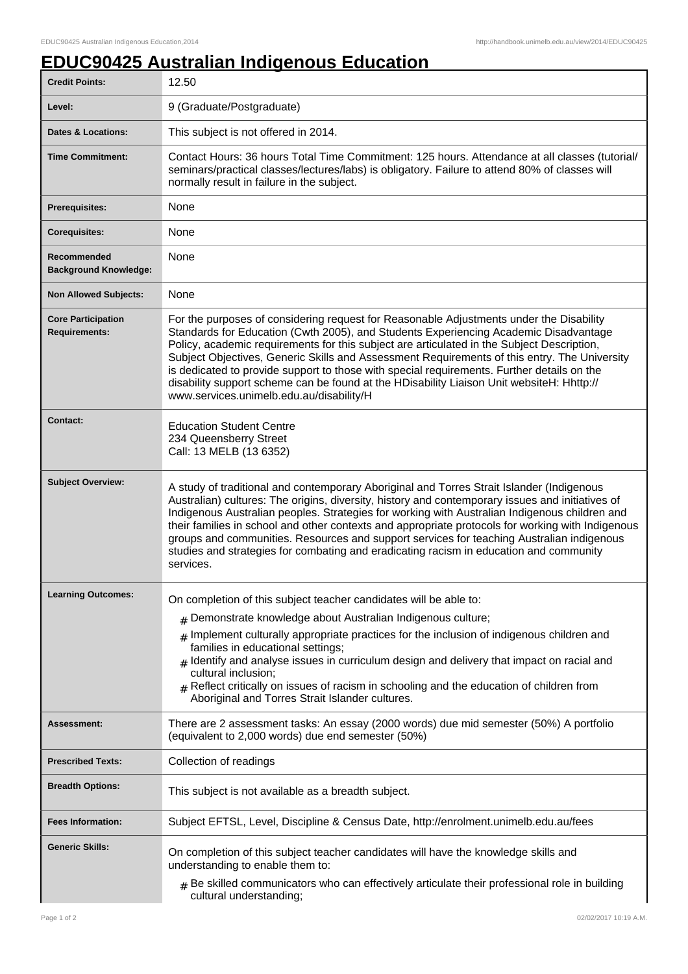## **EDUC90425 Australian Indigenous Education**

| <b>Credit Points:</b>                             | 12.50                                                                                                                                                                                                                                                                                                                                                                                                                                                                                                                                                                                                                |
|---------------------------------------------------|----------------------------------------------------------------------------------------------------------------------------------------------------------------------------------------------------------------------------------------------------------------------------------------------------------------------------------------------------------------------------------------------------------------------------------------------------------------------------------------------------------------------------------------------------------------------------------------------------------------------|
| Level:                                            | 9 (Graduate/Postgraduate)                                                                                                                                                                                                                                                                                                                                                                                                                                                                                                                                                                                            |
| Dates & Locations:                                | This subject is not offered in 2014.                                                                                                                                                                                                                                                                                                                                                                                                                                                                                                                                                                                 |
| <b>Time Commitment:</b>                           | Contact Hours: 36 hours Total Time Commitment: 125 hours. Attendance at all classes (tutorial/<br>seminars/practical classes/lectures/labs) is obligatory. Failure to attend 80% of classes will<br>normally result in failure in the subject.                                                                                                                                                                                                                                                                                                                                                                       |
| Prerequisites:                                    | None                                                                                                                                                                                                                                                                                                                                                                                                                                                                                                                                                                                                                 |
| <b>Corequisites:</b>                              | None                                                                                                                                                                                                                                                                                                                                                                                                                                                                                                                                                                                                                 |
| Recommended<br><b>Background Knowledge:</b>       | None                                                                                                                                                                                                                                                                                                                                                                                                                                                                                                                                                                                                                 |
| <b>Non Allowed Subjects:</b>                      | None                                                                                                                                                                                                                                                                                                                                                                                                                                                                                                                                                                                                                 |
| <b>Core Participation</b><br><b>Requirements:</b> | For the purposes of considering request for Reasonable Adjustments under the Disability<br>Standards for Education (Cwth 2005), and Students Experiencing Academic Disadvantage<br>Policy, academic requirements for this subject are articulated in the Subject Description,<br>Subject Objectives, Generic Skills and Assessment Requirements of this entry. The University<br>is dedicated to provide support to those with special requirements. Further details on the<br>disability support scheme can be found at the HDisability Liaison Unit websiteH: Hhttp://<br>www.services.unimelb.edu.au/disability/H |
| Contact:                                          | <b>Education Student Centre</b><br>234 Queensberry Street<br>Call: 13 MELB (13 6352)                                                                                                                                                                                                                                                                                                                                                                                                                                                                                                                                 |
| <b>Subject Overview:</b>                          | A study of traditional and contemporary Aboriginal and Torres Strait Islander (Indigenous<br>Australian) cultures: The origins, diversity, history and contemporary issues and initiatives of<br>Indigenous Australian peoples. Strategies for working with Australian Indigenous children and<br>their families in school and other contexts and appropriate protocols for working with Indigenous<br>groups and communities. Resources and support services for teaching Australian indigenous<br>studies and strategies for combating and eradicating racism in education and community<br>services.              |
| <b>Learning Outcomes:</b>                         | On completion of this subject teacher candidates will be able to:<br>$#$ Demonstrate knowledge about Australian Indigenous culture;<br>Implement culturally appropriate practices for the inclusion of indigenous children and<br>families in educational settings;<br>$_{\#}$ Identify and analyse issues in curriculum design and delivery that impact on racial and<br>cultural inclusion;<br>$#$ Reflect critically on issues of racism in schooling and the education of children from<br>Aboriginal and Torres Strait Islander cultures.                                                                       |
| Assessment:                                       | There are 2 assessment tasks: An essay (2000 words) due mid semester (50%) A portfolio<br>(equivalent to 2,000 words) due end semester (50%)                                                                                                                                                                                                                                                                                                                                                                                                                                                                         |
| <b>Prescribed Texts:</b>                          | Collection of readings                                                                                                                                                                                                                                                                                                                                                                                                                                                                                                                                                                                               |
| <b>Breadth Options:</b>                           | This subject is not available as a breadth subject.                                                                                                                                                                                                                                                                                                                                                                                                                                                                                                                                                                  |
| <b>Fees Information:</b>                          | Subject EFTSL, Level, Discipline & Census Date, http://enrolment.unimelb.edu.au/fees                                                                                                                                                                                                                                                                                                                                                                                                                                                                                                                                 |
| <b>Generic Skills:</b>                            | On completion of this subject teacher candidates will have the knowledge skills and<br>understanding to enable them to:<br>$#$ Be skilled communicators who can effectively articulate their professional role in building<br>cultural understanding;                                                                                                                                                                                                                                                                                                                                                                |